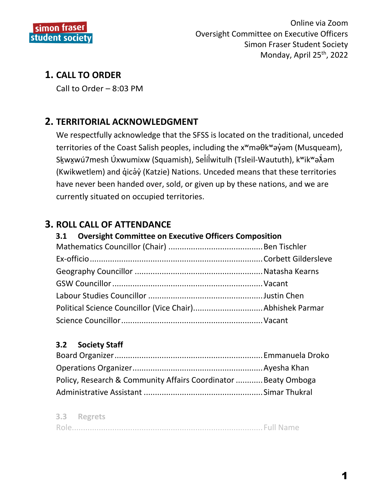

# **1. CALL TO ORDER**

Call to Order – 8:03 PM

# **2. TERRITORIAL ACKNOWLEDGMENT**

We respectfully acknowledge that the SFSS is located on the traditional, unceded territories of the Coast Salish peoples, including the x<sup>w</sup>maθk<sup>w</sup>aγ am (Musqueam), Skwxwú7mesh Úxwumixw (Squamish), Selílwitulh (Tsleil-Waututh), k<sup>w</sup>ik<sup>w</sup>ə $\tilde{\lambda}$ əm (Kwikwetlem) and q̓icə̓y̓(Katzie) Nations. Unceded means that these territories have never been handed over, sold, or given up by these nations, and we are currently situated on occupied territories.

# **3. ROLL CALL OF ATTENDANCE**

## **3.1 Oversight Committee on Executive Officers Composition**

## **3.2 Society Staff**

| Policy, Research & Community Affairs Coordinator Beaty Omboga |  |
|---------------------------------------------------------------|--|
|                                                               |  |

#### **3.3 Regrets**

|--|--|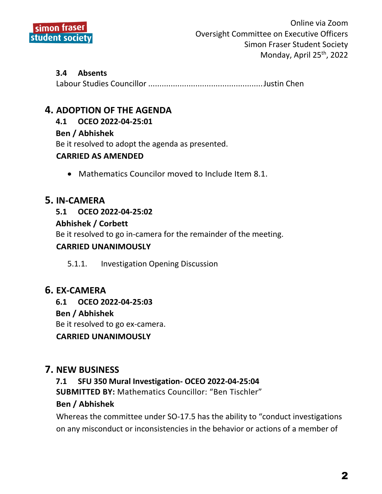

#### **3.4 Absents**

Labour Studies Councillor ...................................................Justin Chen

## **4. ADOPTION OF THE AGENDA**

#### **4.1 OCEO 2022-04-25:01**

#### **Ben / Abhishek**

Be it resolved to adopt the agenda as presented.

#### **CARRIED AS AMENDED**

• Mathematics Councilor moved to Include Item 8.1.

## **5. IN-CAMERA**

#### **5.1 OCEO 2022-04-25:02**

#### **Abhishek / Corbett**

Be it resolved to go in-camera for the remainder of the meeting.

#### **CARRIED UNANIMOUSLY**

5.1.1. Investigation Opening Discussion

## **6. EX-CAMERA**

**6.1 OCEO 2022-04-25:03**

#### **Ben / Abhishek**

Be it resolved to go ex-camera.

#### **CARRIED UNANIMOUSLY**

## **7. NEW BUSINESS**

# **7.1 SFU 350 Mural Investigation- OCEO 2022-04-25:04**

**SUBMITTED BY:** Mathematics Councillor: "Ben Tischler"

#### **Ben / Abhishek**

Whereas the committee under SO-17.5 has the ability to "conduct investigations on any misconduct or inconsistencies in the behavior or actions of a member of